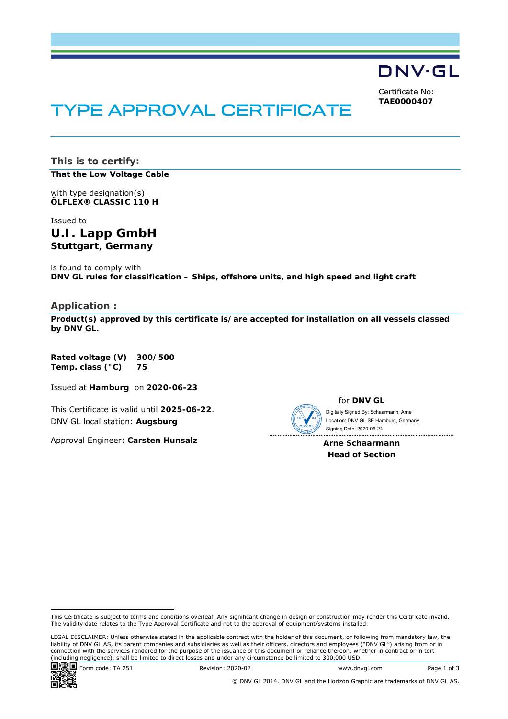DNV·GL

Certificate No: **TAE0000407**

# TYPE APPROVAL CERTIFICATE

**This is to certify: That the Low Voltage Cable**

with type designation(s) **ÖLFLEX® CLASSIC 110 H**

Issued to **U.I. Lapp GmbH Stuttgart**, **Germany** 

is found to comply with **DNV GL rules for classification – Ships, offshore units, and high speed and light craft** 

#### **Application :**

**Product(s) approved by this certificate is/are accepted for installation on all vessels classed by DNV GL.**

**Rated voltage (V) 300/500 Temp. class (°C) 75** 

Issued at **Hamburg** on **2020-06-23**

This Certificate is valid until **2025-06-22**. DNV GL local station: **Augsburg**

Approval Engineer: **Carsten Hunsalz**



for **DNV GL**

 Signing Date: 2020-06-24 Digitally Signed By: Schaarmann, Arne Location: DNV GL SE Hamburg, Germany

**Arne Schaarmann Head of Section** 

LEGAL DISCLAIMER: Unless otherwise stated in the applicable contract with the holder of this document, or following from mandatory law, the liability of DNV GL AS, its parent companies and subsidiaries as well as their officers, directors and employees ("DNV GL") arising from or in connection with the services rendered for the purpose of the issuance of this document or reliance thereon, whether in contract or in tort (including negligence), shall be limited to direct losses and under any circumstance be limited to 300,000 USD.



This Certificate is subject to terms and conditions overleaf. Any significant change in design or construction may render this Certificate invalid. The validity date relates to the Type Approval Certificate and not to the approval of equipment/systems installed.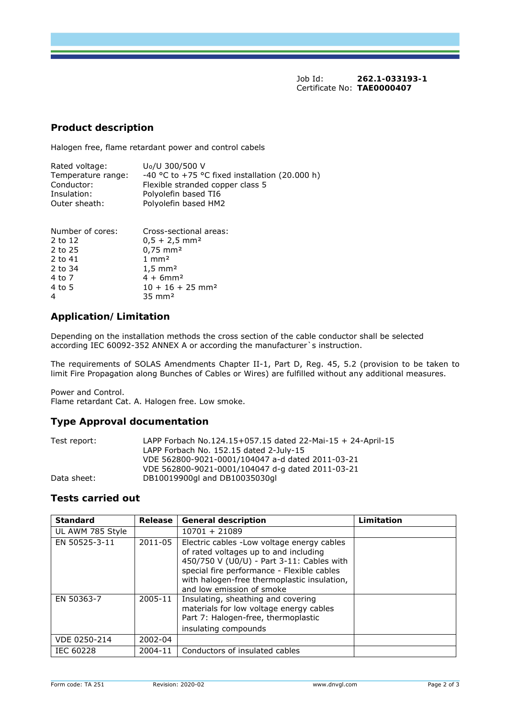Job Id: **262.1-033193-1**  Certificate No: **TAE0000407**

#### **Product description**

Halogen free, flame retardant power and control cabels

| Rated voltage:     | U <sub>0</sub> /U 300/500 V                    |
|--------------------|------------------------------------------------|
| Temperature range: | -40 °C to +75 °C fixed installation (20.000 h) |
| Conductor:         | Flexible stranded copper class 5               |
| Insulation:        | Polyolefin based TI6                           |
| Outer sheath:      | Polyolefin based HM2                           |

| Number of cores: | Cross-sectional areas:         |
|------------------|--------------------------------|
| 2 to 12          | $0.5 + 2.5$ mm <sup>2</sup>    |
| 2 to 25          | $0,75$ mm <sup>2</sup>         |
| 2 to 41          | $1 \text{ mm}^2$               |
| 2 to 34          | $1,5 \, \text{mm}^2$           |
| 4 to 7           | $4 + 6$ mm <sup>2</sup>        |
| 4 to 5           | $10 + 16 + 25$ mm <sup>2</sup> |
|                  | $35 \text{ mm}^2$              |

# **Application/Limitation**

Depending on the installation methods the cross section of the cable conductor shall be selected according IEC 60092-352 ANNEX A or according the manufacturer`s instruction.

The requirements of SOLAS Amendments Chapter II-1, Part D, Reg. 45, 5.2 (provision to be taken to limit Fire Propagation along Bunches of Cables or Wires) are fulfilled without any additional measures.

Power and Control.

Flame retardant Cat. A. Halogen free. Low smoke.

#### **Type Approval documentation**

| Test report: | LAPP Forbach No.124.15+057.15 dated 22-Mai-15 + 24-April-15 |
|--------------|-------------------------------------------------------------|
|              | LAPP Forbach No. 152.15 dated 2-July-15                     |
|              | VDE 562800-9021-0001/104047 a-d dated 2011-03-21            |
|              | VDE 562800-9021-0001/104047 d-g dated 2011-03-21            |
| Data sheet:  | DB10019900gl and DB10035030gl                               |

## **Tests carried out**

| <b>Standard</b>  | Release | <b>General description</b>                                                                                                                                                                                                                                  | Limitation |
|------------------|---------|-------------------------------------------------------------------------------------------------------------------------------------------------------------------------------------------------------------------------------------------------------------|------------|
| UL AWM 785 Style |         | $10701 + 21089$                                                                                                                                                                                                                                             |            |
| EN 50525-3-11    | 2011-05 | Electric cables - Low voltage energy cables<br>of rated voltages up to and including<br>450/750 V (U0/U) - Part 3-11: Cables with<br>special fire performance - Flexible cables<br>with halogen-free thermoplastic insulation,<br>and low emission of smoke |            |
| EN 50363-7       | 2005-11 | Insulating, sheathing and covering<br>materials for low voltage energy cables<br>Part 7: Halogen-free, thermoplastic<br>insulating compounds                                                                                                                |            |
| VDE 0250-214     | 2002-04 |                                                                                                                                                                                                                                                             |            |
| <b>IEC 60228</b> | 2004-11 | Conductors of insulated cables                                                                                                                                                                                                                              |            |